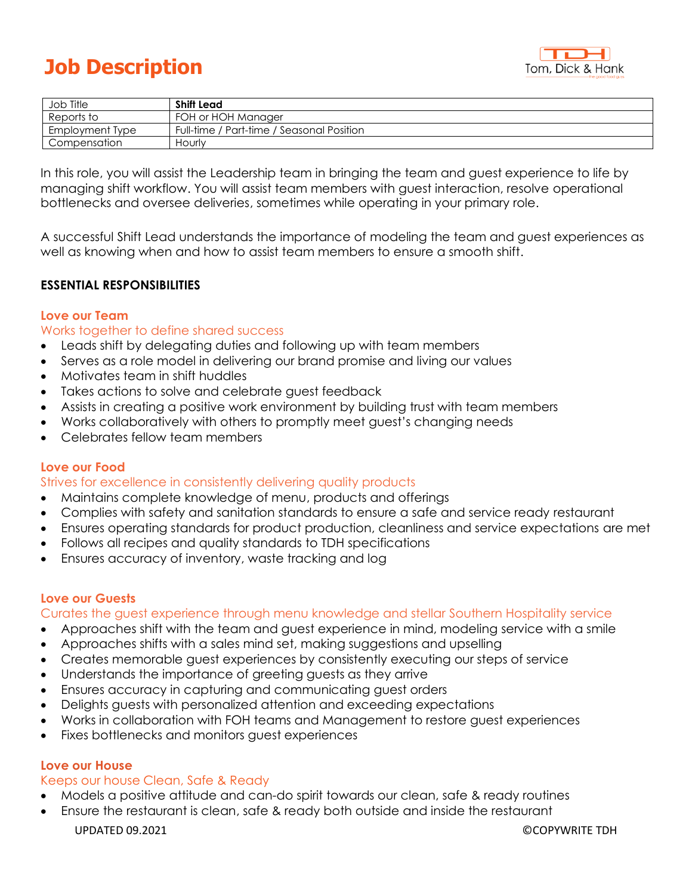# **Job Description**



| Job Title       | Shift Lead                                |
|-----------------|-------------------------------------------|
| Reports to      | FOH or HOH Manager                        |
| Employment Type | Full-time / Part-time / Seasonal Position |
| Compensation    | Hourly                                    |

In this role, you will assist the Leadership team in bringing the team and guest experience to life by managing shift workflow. You will assist team members with guest interaction, resolve operational bottlenecks and oversee deliveries, sometimes while operating in your primary role.

A successful Shift Lead understands the importance of modeling the team and guest experiences as well as knowing when and how to assist team members to ensure a smooth shift.

# **ESSENTIAL RESPONSIBILITIES**

## **Love our Team**

#### Works together to define shared success

- Leads shift by delegating duties and following up with team members
- Serves as a role model in delivering our brand promise and living our values
- Motivates team in shift huddles
- Takes actions to solve and celebrate guest feedback
- Assists in creating a positive work environment by building trust with team members
- Works collaboratively with others to promptly meet guest's changing needs
- Celebrates fellow team members

#### **Love our Food**

## Strives for excellence in consistently delivering quality products

- Maintains complete knowledge of menu, products and offerings
- Complies with safety and sanitation standards to ensure a safe and service ready restaurant
- Ensures operating standards for product production, cleanliness and service expectations are met
- Follows all recipes and quality standards to TDH specifications
- Ensures accuracy of inventory, waste tracking and log

## **Love our Guests**

Curates the guest experience through menu knowledge and stellar Southern Hospitality service

- Approaches shift with the team and guest experience in mind, modeling service with a smile
- Approaches shifts with a sales mind set, making suggestions and upselling
- Creates memorable guest experiences by consistently executing our steps of service
- Understands the importance of greeting guests as they arrive
- Ensures accuracy in capturing and communicating guest orders
- Delights guests with personalized attention and exceeding expectations
- Works in collaboration with FOH teams and Management to restore guest experiences
- Fixes bottlenecks and monitors guest experiences

#### **Love our House**

## Keeps our house Clean, Safe & Ready

- Models a positive attitude and can-do spirit towards our clean, safe & ready routines
- Ensure the restaurant is clean, safe & ready both outside and inside the restaurant

UPDATED 09.2021 ©COPYWRITE TDH